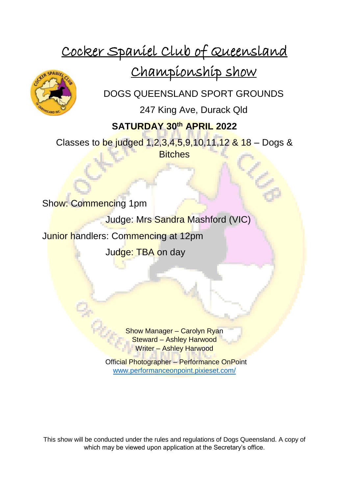# Cocker Spaniel Club of Queensland

Championship show

DOGS QUEENSLAND SPORT GROUNDS

247 King Ave, Durack Qld

### **SATURDAY 30th APRIL 2022**

Classes to be judged  $1,2,3,4,5,9,10,11,12$  &  $18$  – Dogs & **Bitches** 

Show: Commencing 1pm

Judge: Mrs Sandra Mashford (VIC)

Junior handlers: Commencing at 12pm

Judge: TBA on day

Show Manager – Carolyn Ryan Steward – Ashley Harwood Writer – Ashley Harwood

Official Photographer – Performance OnPoint www.performanceonpoint.pixieset.com/

This show will be conducted under the rules and regulations of Dogs Queensland. A copy of which may be viewed upon application at the Secretary's office.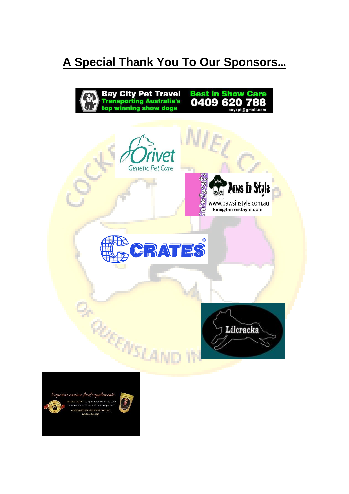## **A Special Thank You To Our Sponsors…**



Superior canine feed supplement 0407-424-704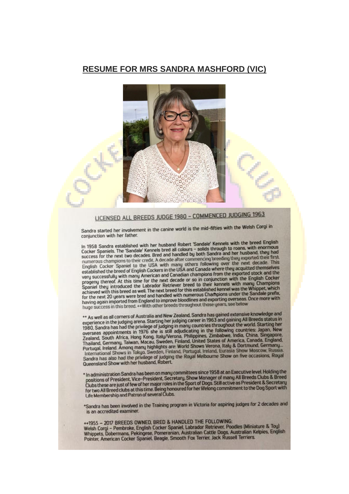#### **RESUME FOR MRS SANDRA MASHFORD (VIC)**



### LICENSED ALL BREEDS JUDGE 1980 - COMMENCED JUDGING 1963

Sandra started her involvement in the canine world is the mid-fifties with the Welsh Corgi in conjunction with her father.

In 1958 Sandra established with her husband Robert 'Sandale' Kennels with the breed English Cocker Spaniels. The 'Sandale' Kennels bred all colours - solids through to roans, with enormous<br>success for the next two decades. Bred and handled by both Sandra and her husband, they had numerous champions to their credit. A decade after commencing breeding they exported their first.<br>English Cocker Spaniel to the USA with many others following over the next decade. This established the breed of English Coc very successfully with many American and Canadian champions from the exported stock and the progeny thereof. At this time for the next decade or so in conjunction with the English Cocker<br>Spaniel they introduced the Labrador Retriever breed to their kennels with many Champions<br>achieved with this breed as well. The for the next 20 years were bred and handled with numerous Champions under the Sandale prefix. having again imported from England to improve bloodlines and exporting overseas. Once more with<br>huge success in this breed. \*\*With other breeds throughout those years, see below

\*\* As well as all corners of Australia and New Zealand, Sandra has gained extensive knowledge and The Same and Corners or Australia and New Zealand, Sandra has gained extensive knowledge and<br>experience in the judging arena. Starting her judging career in 1963 and gaining All Breeds status in<br>1980, Sandra has had the pr Francisco, Germany, Taiwart, Mocau, Sweeter, Frinand, United States or America, Canada, England, Portugal, Ireland, Portugal, Ireland, Bortmund, Germany, International Shows in Tokyo, Sweden, Finland, Portugal, Ireland, Eu Queensland Show with her husband, Robert.

\* In administration Sandra has been on many committees since 1958 at an Executive level. Holding the positions of President. Vice–President, Secretary. Show Manager of many All Breeds Clubs & Breed Clubs these are just of

\*Sandra has been involved in the Training program in Victoria for aspiring judges for 2 decades and is an accredited examiner.

++1955 - 2017 BREEDS OWNED, BRED & HANDLED THE FOLLOWING:<br>Welsh Corgi - Pembroke, English Cocker Spaniel, Labrador Retriever, Poodles (Miniature & Tou) Whippets, Dobermans, Pekingese, Pomeranian, Australian Cattle Dogs, Australian Kelpies, English<br>Pointer, American Cocker Spaniel, Beagle, Smooth Fox Terrier, Jack Russell Terriers.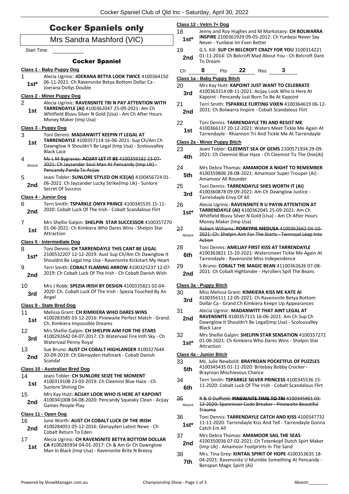| <b>Cocker Spaniels only</b><br>Mrs Sandra Mashford (VIC) |                                                                                                                                                                                          |              | Class 12 - Vetrn 7+ Dog<br>18                                                                                                                           |  |  |  |  |
|----------------------------------------------------------|------------------------------------------------------------------------------------------------------------------------------------------------------------------------------------------|--------------|---------------------------------------------------------------------------------------------------------------------------------------------------------|--|--|--|--|
|                                                          |                                                                                                                                                                                          |              | Jenny and Roy Hughes and M Markotany: CH BOLWARRA<br>INSPIRE 2100361929 09-05-2012: Ch Yunbeai Never Say<br>Never - Yunbeai Im Even Better              |  |  |  |  |
| <b>Start Time:</b>                                       |                                                                                                                                                                                          | 19           | G.S. Kill: SUP CH BELCROFT CRAZY FOR YOU 3100314221                                                                                                     |  |  |  |  |
|                                                          | <b>Cocker Spaniel</b>                                                                                                                                                                    | 2nd          | 01-11-2014: Ch Belcroft Mad About You - Ch Belcroft Dare<br>To Dream                                                                                    |  |  |  |  |
|                                                          | Class 1 - Baby Puppy Dog                                                                                                                                                                 | Ch           | 8<br>22<br>Pts<br>Res                                                                                                                                   |  |  |  |  |
|                                                          | Alecia Ugrinic: JOERANA BETYA LOOK TWICE 4100364150                                                                                                                                      |              | Class 1a - Baby Puppy Bitch                                                                                                                             |  |  |  |  |
| $1st*$                                                   | 06-11-2021: Ch Ravensnite Betya Bottom Dollar Ca -<br>Joerana Dollys Double                                                                                                              | 20           | Mrs Kay Hutt: KAPOINT JUST WANT TO CELEBRATE                                                                                                            |  |  |  |  |
|                                                          | <b>Class 2 - Minor Puppy Dog</b>                                                                                                                                                         | 3rd          | 4100363314 08-11-2021: Acijay Look Who Is Here At<br>Kapoint - Pencandy Just Born To Be At Kapoint                                                      |  |  |  |  |
| 2<br>1st                                                 | Alecia Ugrinic: RAVENSNITE TRI N PAY ATTENTION WITH<br>TARRENDAYLE (AI) 4100362047 25-09-2021: Am Ch<br>Whitfield Bluvu Silver N Gold (Usa) - Am Ch After Hours<br>Money Maker (Imp Usa) | 21<br>2nd    | Terri Smith: TSPARKLE FLIRTING VIXEN 4100364619 06-12-<br>2021: Ch Bolwarra Inspire - Cobalt Scandalous Flirt                                           |  |  |  |  |
|                                                          | Class 3 - Puppy Dog                                                                                                                                                                      | 22           | Toni Dennis: TARRENDAYLE TRI AND RESIST ME                                                                                                              |  |  |  |  |
| 3                                                        | Toni Dennis: MADANWITT KEEPIN IT LEGAL AT                                                                                                                                                | 1st          | 4100366137 20-12-2021: Waters Meet Tickle Me Again At<br>Tarrendayle - Rhiannon Tri And Tickle Me At Tarrendayle                                        |  |  |  |  |
| 1st                                                      | TARRENDAYLE 4100357114 16-06-2021: Sup Ch/Am Ch                                                                                                                                          |              | Class 2a - Minor Puppy Bitch                                                                                                                            |  |  |  |  |
|                                                          | Dawnglow It Shouldn't Be Legal (Imp Usa) - Scolouvalley<br><b>Black Lace</b>                                                                                                             | 23           | Jeani Tobler: CLEEMIST SEA OF GEMS 2100571934 29-09-                                                                                                    |  |  |  |  |
| 4                                                        | Ms L M Bygraves: ACIJAY LET IT BE 4100359182 23-07-                                                                                                                                      | 4th          | 2021: Ch Cleemist Blue Haze - Ch Cleemist Tiz The One(Ai)                                                                                               |  |  |  |  |
| Absent                                                   | 2021: Ch Jayzander Soul Man At Pencandy (Imp Uk) -                                                                                                                                       |              |                                                                                                                                                         |  |  |  |  |
|                                                          | Pencandy Panda To Acijay                                                                                                                                                                 | 24<br>5th    | Mrs Debra Thomas: AMAMOOR A NIGHT TO REMEMBER<br>4100359806 28-08-2021: Amamoor Super Trouper (Ai) -                                                    |  |  |  |  |
| 5                                                        | Jeani Tobler: SUNLORE STYLED ON ICE(AI) 4100456724 01-<br>06-2021: Ch Jayzander Lucky Strike(Imp Uk) - Sunlore                                                                           |              | Amamoor All Rounder                                                                                                                                     |  |  |  |  |
| 2nd                                                      | Secret Of Success                                                                                                                                                                        | 25           | Toni Dennis: TARRENDAYLE SHES WORTH IT (AI)                                                                                                             |  |  |  |  |
|                                                          | Class 4 - Junior Dog                                                                                                                                                                     | 3rd          | 4100360878 09-09-2021: Am Ch Dawnglow Justice -<br>Tarrendayle Envy Of All                                                                              |  |  |  |  |
| 6                                                        | Terri Smith: TSPARKLE ONYX PRINCE 4100345535 15-11-                                                                                                                                      | 26           | Alecia Ugrinic: RAVENSNITE R U PAYIN ATTENTION AT                                                                                                       |  |  |  |  |
| 2nd                                                      | 2020: Cobalt Luck Of The Irish - Cobalt Scandalous Flirt                                                                                                                                 | $1st*$       | TARRENDAYLE (AI) 4100362045 25-09-2021: Am Ch<br>Whitfield Bluvu Silver N Gold (Usa) - Am Ch After Hours                                                |  |  |  |  |
| $\overline{7}$                                           | Mrs Shellie Galpin: SHELPIN STAR SUCCESSOR 4100357270<br>01-06-2021: Ch Kimkiera Who Dares Wins - Shelpin Star                                                                           | 27           | Money Maker (Imp Usa)<br>Robert Williams: PORKYPIE MEDUSA 4100362662 04-10-                                                                             |  |  |  |  |
| 1st                                                      | Attraction<br>Class 5 - Intermediate Dog                                                                                                                                                 | Absent       | 2021: Ch. Shelpin Aim For The Starts Twnroyal Leap Into<br>Action                                                                                       |  |  |  |  |
| 8                                                        | Toni Dennis: CH TARRENDAYLE THIS CANT BE LEGAL                                                                                                                                           | 28           | Toni Dennis: AMELIAY FIRST KISS AT TARRENDAYLE                                                                                                          |  |  |  |  |
| $1st*$                                                   | 2100532207 12-12-2019: Aust Sup Ch/Am Ch Dawnglow It<br>Shouldnt Be Legal Imp Usa - Ravensnite Kickstart My Heart                                                                        | 6th          | 4100363821 15-10-2021: Watersmeet Tickle Me Again At<br>Tarrendayle - Ravensnite Miss Independence                                                      |  |  |  |  |
| 9<br>2nd                                                 | Terri Smith: COBALT FLAMING ARROW 4100325237 12-07-<br>2019: Ch Cobalt Luck Of The Irish - Ch Cobalt Danish Wish                                                                         | 29<br>2nd    | S Bruno: COBALT THE MAGIC BEAN 41100362626 07-08-<br>2021: Ch Cobalt Highlander - Hyrollers Spill The Beans                                             |  |  |  |  |
| 10                                                       | Mrs J Robb: SPEZIA IRISH BY DESIGN 4100335821 02-04-                                                                                                                                     |              | Class 3a - Puppy Bitch                                                                                                                                  |  |  |  |  |
| 3rd                                                      | 2020: Ch. Cobalt Luck Of The Irish - Spezia Touched By An<br>Angel                                                                                                                       | 30<br>3rd    | Miss Melissa Grant: KIMKIERA KISS ME KATE AI<br>4100356111 12-05-2021: Ch Ravensnite Betya Bottom<br>Dollar Ca - Grand Ch Kimkiera Keepn Up Appearances |  |  |  |  |
| 11                                                       | Class 9 - State Bred Dog<br>Melissa Grant: CH KIMKIERA WHO DARES WINS                                                                                                                    | 31           | Alecia Ugrinic: MADANWITT THAT AINT LEGAL AT                                                                                                            |  |  |  |  |
| 1st<br>12                                                | 4100283585 03-12-2016: Pinewaite Perfect Match - Grand.<br>Ch. Kimkiera Impossible Dreams<br>Mrs Shellie Galpin: CH SHELPIN AIM FOR THE STARS                                            | 2nd          | RAVENSNITE 4100357115 16-06-2021: Am Ch Sup Ch<br>Dawnglow It Shouldn't Be Legal(Imp Usa) - Scolouvalley<br><b>Black Lace</b>                           |  |  |  |  |
| 3rd                                                      | 4100292642 04-07-2017: Ch Watervaal Fire Inth Sky - Ch<br>Watervaal Penny Royal                                                                                                          | 32<br>$1st*$ | Mrs Shellie Galpin: SHELPIN STAR SENSATION 4100357272<br>01-06-2021: Ch Kimkiera Who Dares Wins - Shelpin Star                                          |  |  |  |  |
| 13                                                       | Sue Bruno: AUST CH COBALT HIGHLANDER 4100327644                                                                                                                                          |              | Attraction                                                                                                                                              |  |  |  |  |
| 2nd                                                      | 20-09-2019: Ch Glenayden Hallmark - Cobalt Danish<br>Scandal                                                                                                                             |              | Class 4a - Junior Bitch                                                                                                                                 |  |  |  |  |
|                                                          | Class 10 - Australian Bred Dog                                                                                                                                                           | 33<br>5th    | Ms. Julie Newbold: BRAYROAN POCKETFUL OF PUZZLES<br>4100345435 01-11-2020: Britebay Bobby Crocker -<br>Brayroan Mischievous Chance                      |  |  |  |  |
| 14<br>1st                                                | Jeani Tobler: CH SUNLORE SEIZE THE MOMENT<br>4100319108 23-03-2019: Ch Cleemist Blue Haze - Ch<br>Sunlore Shining On                                                                     | 34<br>6th    | Terri Smith: TSPARKLE SILVER PRINCESS 4100345536 15-<br>11-2020: Cobalt Luck Of The Irish - Cobalt Scandalous Flirt                                     |  |  |  |  |
| 15<br>2nd                                                | Mrs Kay Hutt: ACIJAY LOOK WHO IS HERE AT KAPOINT<br>4100341008 04-08-2020: Pencandy Squeaky Clean - Acijay<br>Games People Play                                                          | 35<br>Absent | <b>R &amp; D Duffield: PINEWAITE TIME TO TRI 4100345901 03-</b><br>12-2020: Spanriever Code Breaker - Pinewaite Beautiful<br><b>Trauma</b>              |  |  |  |  |
|                                                          | Class 11 - Open Dog                                                                                                                                                                      | 36           | Toni Dennis: TARRENDAYLE CATCH AND KISS 4100347732                                                                                                      |  |  |  |  |
| 16<br>2nd                                                | June Worth: AUST CH COBALT LUCK OF THE IRISH<br>4100284051 05-12-2016: Glenayden Latest News - Ch<br>Cobalt Return To Eden                                                               | $1st*$       | 11-11-2020: Tarrendayle Kiss And Tell - Tarrendayle Gonna<br>Catch Em All                                                                               |  |  |  |  |
| 17<br>1st                                                | Alecia Ugrinic: CH RAVENSNITE BETYA BOTTOM DOLLAR<br>CA 4100285934 04-01-2017: Ch & Am Gr Ch Dawnglow<br>Man In Black (Imp Usa) - Ravensnite Brite N Breezy                              | 37<br>2nd    | Mrs Debra Thomas: AMAMOOR SAIL THE SEAS<br>4100350036 07-02-2021: Ch Totenkopf Dutch Spirt Maker<br>(Imp Uk) - Amamoor Footprints In The Sand           |  |  |  |  |
|                                                          |                                                                                                                                                                                          | 38<br>7th    | Mrs. Tina Grey: KINTAIL SPIRIT OF HOPE 4100353635 18-<br>04-2021: Ravensnite U Mumble Something At Pencandy -<br>Benspan Magic Spirit (Ai)              |  |  |  |  |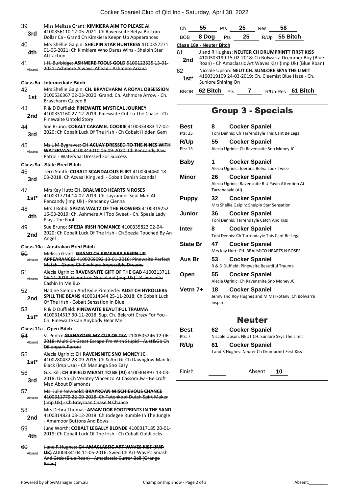| 39<br>3rd    | Miss Melissa Grant: KIMKIERA AIM TO PLEASE AI<br>4100356110 12-05-2021: Ch Ravensnite Betva Bottom<br>Dollar Ca - Grand Ch Kimkiera Keepn Up Appearances                              |
|--------------|---------------------------------------------------------------------------------------------------------------------------------------------------------------------------------------|
| 40<br>4th    | Mrs Shellie Galpin: SHELPIN STAR HUNTRESS 4100357271<br>01-06-2021: Ch Kimkiera Who Dares Wins - Shelpin Star<br>Attraction                                                           |
| 41<br>Absent | J.H. Burbidge: ASHMERE FOOLS GOLD 5100122535 13 01-<br>2021: Ashmere Always Ahead - Ashmere Ariana                                                                                    |
|              | Class 5a - Intermediate Bitch                                                                                                                                                         |
| 42<br>1st    | Mrs Shellie Galpin: CH. BRAYCHARM A ROYAL OBSESSION<br>2100536367 02-03-2020: Grand. Ch. Ashmore Arrow - Ch.<br>Braycharm Queen B                                                     |
| 43<br>2nd    | R & D Duffield: PINEWAITE MYSTICAL JOURNEY<br>4100331160 27-12-2019: Pinewaite Cut To The Chase - Ch<br>Pinewaite Untold Story                                                        |
| 44<br>3rd    | Sue Bruno: COBALT CARAMEL COOKIE 4100334883 17-02-<br>2020: Ch Cobalt Luck Of The Irish - Ch Cobalt Hidden Gem                                                                        |
| 45<br>Absent | Ms L M Bygraves: CH ACIJAY DRESSED TO THE NINES WITH<br>WATERVAAL 4100343010 06-09-2020: Ch Pencandy Paw<br><b>Patrol - Watervaal Dressed For Success</b>                             |
|              | Class 9a - State Bred Bitch                                                                                                                                                           |
| 46<br>3rd    | Terri Smith: COBALT SCANDALOUS FLIRT 4100304460 18-<br>03-2018: Ch Acvaal King Jedi - Cobalt Danish Scandal                                                                           |
| 47<br>$1st*$ | Mrs Kay Hutt: CH. BRALMICO HEARTS N ROSES<br>4100317714 14-02-2019: Ch. Jayzander Soul Man At<br>Pencandy (Imp Uk) - Pencandy Cienna                                                  |
| 48<br>4th    | Mrs J Robb: SPEZIA WALTZ OF THE FLOWERS 4100319252<br>16-03-2019: Ch. Ashmere All Too Sweet - Ch. Spezia Lady<br>Plays The Fool                                                       |
| 49<br>2nd    | Sue Bruno: SPEZIA IRISH ROMANCE 4100335823 02-04-<br>2020: Ch Cobalt Luck Of The Irish - Ch Spezia Touched By An<br>Angel                                                             |
|              |                                                                                                                                                                                       |
|              |                                                                                                                                                                                       |
| 50<br>Absent | Class 10a - Australian Bred Bitch<br>Melissa Grant: GRAND CH KIMKIERA KEEPN UP<br>APPEARANCES 4100269092 13 01 2016: Pinewaite Perfect<br>Match - Grand Ch Kimkiera Impossible Dreams |
| 51<br>Absent | Alecia Ugrinic: RAVENSNITE GIFT OF THE GAB 4100313711<br>06 11 2018: Glenntree Graceland (Imp Uk) Ravensnite<br><del>Cashin In Me Bux</del>                                           |
| 52<br>2nd    | Nadine Siemon And Kylie Zimmerle: AUST CH HYROLLERS<br>SPILL THE BEANS 4100314344 25-11-2018: Ch Cobalt Luck<br>Of The Irish - Cobalt Sensation In Blue                               |
| 53<br>$1st*$ | R & D Duffield: PINEWAITE BEAUTIFUL TRAUMA<br>4100314517 30-11-2018: Sup. Ch. Belcroft Crazy For You -<br>Ch. Pinewaite Can Anybody Hear Me                                           |
|              | Class 11a - Open Bitch                                                                                                                                                                |
| 54<br>Absent | V. Pento: GLENAYDEN MY CUP OF TEA 2100505246 12-06-<br>2018: Multi Ch Great Escape I'm With Stupid Aust& Gb Ch<br>Dillonpark Peroni                                                   |
| 55<br>1st*   | Alecia Ugrinic: CH RAVENSNITE SNO MONEY JC<br>4100280432 28-09-2016: Ch & Am Gr Ch Dawnglow Man In                                                                                    |
| 56<br>3rd    | Black (Imp Usa) - Ch Manunga Sno Easy<br>G.S. Kill: CH BIFIELD MEANT TO BE (AI) 4100304897 13-03-<br>2018: Uk Sh Ch Veratey Vincenzo At Cassom Jw - Belcroft<br>Mad About Diamonds    |
| 57<br>Absent | Ms. Julie Newbold: BRAYROAN MISCHIEVOUS CHANCE<br>4100311779 22-09-2018: Ch Totenkopf Dutch Spirt Maker                                                                               |
| 58<br>2nd    | (Imp Uk) - Ch Brayroan Chase N Chance<br>Mrs Debra Thomas: AMAMOOR FOOTPRINTS IN THE SAND<br>4100314823 03-12-2018: Ch Jodegee Rumble In The Jungle                                   |
| 59<br>4th    | - Amamoor Buttons And Bows<br>June Worth: COBALT LEGALLY BLONDE 4100317185 20-01-<br>2019: Ch Cobalt Luck Of The Irish - Ch Cobalt Goldilocks                                         |
| 60           | J and R Hughes: CH AMACLASSIC ART WAVES KISS (IMP                                                                                                                                     |

| Ch           | 55                       | Pts | 25 | Res              | 58       |                                                                                                                                                                      |  |
|--------------|--------------------------|-----|----|------------------|----------|----------------------------------------------------------------------------------------------------------------------------------------------------------------------|--|
| <b>BOB</b>   | 8 Doq                    | Pts | 25 | R/U <sub>p</sub> |          | 55 Bitch                                                                                                                                                             |  |
|              | Class 18a - Neuter Bitch |     |    |                  |          |                                                                                                                                                                      |  |
| 61<br>2nd    |                          |     |    |                  |          | J and R Hughes: NEUTER CH DRUMPRINTT FIRST KISS<br>4100303199 15-02-2018: Ch Bolwarra Drummer Boy (Blue<br>Roan) - Ch Amaclassic Art Waves Kiss (Imp Uk) (Blue Roan) |  |
| 62<br>$1st*$ | Sunlore Shining On       |     |    |                  |          | Niccole Upson: NEUT CH. SUNLORE SKYS THE LIMIT<br>4100319109 24-03-2019: Ch. Cleemist Blue Haze - Ch.                                                                |  |
| <b>BNC</b>   | 62 Bitch                 | Pts |    |                  | R/Up-Res | 61 Bitch                                                                                                                                                             |  |

### Group 3 - Specials

| Best            | 8                      | <b>Cocker Spaniel</b>                                                      |
|-----------------|------------------------|----------------------------------------------------------------------------|
| Pts: 25         |                        | Toni Dennis: Ch Tarrendayle This Cant Be Legal                             |
| R/Up            | 55                     | <b>Cocker Spaniel</b>                                                      |
| Pts: 15         |                        | Alecia Ugrinic: Ch Ravensnite Sno Money JC                                 |
| Baby            | 1                      | <b>Cocker Spaniel</b>                                                      |
|                 |                        | Alecia Ugrinic: Joerana Betya Look Twice                                   |
| Minor           | 26<br>Tarrendayle (AI) | <b>Cocker Spaniel</b><br>Alecia Ugrinic: Ravensnite R U Payin Attention At |
| <b>Puppy</b>    | 32                     | <b>Cocker Spaniel</b><br>Mrs Shellie Galpin: Shelpin Star Sensation        |
| Junior          | 36                     | <b>Cocker Spaniel</b><br>Toni Dennis: Tarrendayle Catch And Kiss           |
| Inter           | 8                      | <b>Cocker Spaniel</b><br>Toni Dennis: Ch Tarrendayle This Cant Be Legal    |
| <b>State Br</b> | 47                     | <b>Cocker Spaniel</b><br>Mrs Kay Hutt: CH. BRALMICO HEARTS N ROSES         |
| Aus Br          | 53                     | <b>Cocker Spaniel</b>                                                      |
|                 |                        | R & D Duffield: Pinewaite Beautiful Trauma                                 |
| Open            | 55                     | <b>Cocker Spaniel</b>                                                      |
|                 |                        | Alecia Ugrinic: Ch Ravensnite Sno Money JC                                 |
| Vetrn 7+        | 18                     | <b>Cocker Spaniel</b>                                                      |
|                 | Inspire                | Jenny and Roy Hughes and M Markotany: Ch Bolwarra                          |
|                 |                        | <b>Neuter</b>                                                              |
| Best            | 62                     | <b>Cocker Spaniel</b>                                                      |
| Pts: 7          |                        | Niccole Upson: NEUT CH. Sunlore Skys The Limit                             |
| R/Up            | 61                     | <b>Cocker Spaniel</b><br>J and R Hughes: Neuter Ch Drumprintt First Kiss   |

Finish <u>Absent</u> 10

Roan)